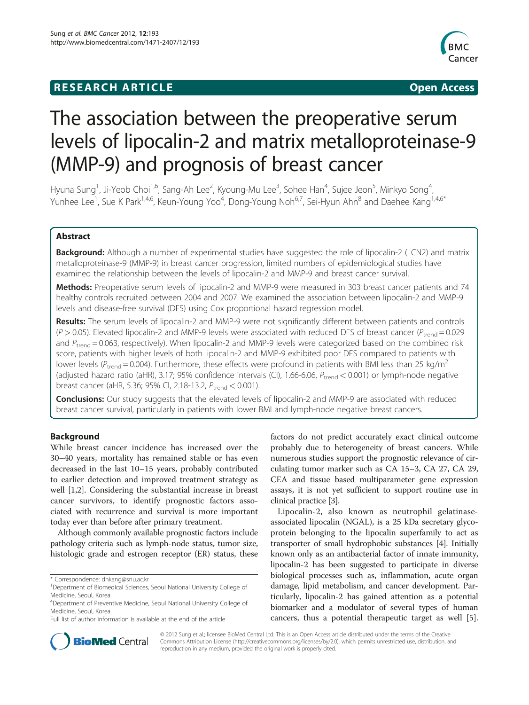## **RESEARCH ARTICLE Example 2018 12:00 Department of the CONNECTION CONNECTION CONNECTION CONNECTION**



# The association between the preoperative serum levels of lipocalin-2 and matrix metalloproteinase-9 (MMP-9) and prognosis of breast cancer

Hyuna Sung<sup>1</sup>, Ji-Yeob Choi<sup>1,6</sup>, Sang-Ah Lee<sup>2</sup>, Kyoung-Mu Lee<sup>3</sup>, Sohee Han<sup>4</sup>, Sujee Jeon<sup>5</sup>, Minkyo Song<sup>4</sup> , Yunhee Lee<sup>1</sup>, Sue K Park<sup>1,4,6</sup>, Keun-Young Yoo<sup>4</sup>, Dong-Young Noh<sup>6,7</sup>, Sei-Hyun Ahn<sup>8</sup> and Daehee Kang<sup>1,4,6\*</sup>

## Abstract

Background: Although a number of experimental studies have suggested the role of lipocalin-2 (LCN2) and matrix metalloproteinase-9 (MMP-9) in breast cancer progression, limited numbers of epidemiological studies have examined the relationship between the levels of lipocalin-2 and MMP-9 and breast cancer survival.

Methods: Preoperative serum levels of lipocalin-2 and MMP-9 were measured in 303 breast cancer patients and 74 healthy controls recruited between 2004 and 2007. We examined the association between lipocalin-2 and MMP-9 levels and disease-free survival (DFS) using Cox proportional hazard regression model.

Results: The serum levels of lipocalin-2 and MMP-9 were not significantly different between patients and controls  $(P > 0.05)$ . Elevated lipocalin-2 and MMP-9 levels were associated with reduced DFS of breast cancer ( $P_{\text{trend}} = 0.029$ and  $P_{\text{trend}} = 0.063$ , respectively). When lipocalin-2 and MMP-9 levels were categorized based on the combined risk score, patients with higher levels of both lipocalin-2 and MMP-9 exhibited poor DFS compared to patients with lower levels ( $P_{trend}$  = 0.004). Furthermore, these effects were profound in patients with BMI less than 25 kg/m<sup>2</sup> (adjusted hazard ratio (aHR), 3.17; 95% confidence intervals (CI), 1.66-6.06,  $P_{\text{trend}} < 0.001$ ) or lymph-node negative breast cancer (aHR, 5.36; 95% CI, 2.18-13.2,  $P_{trend} < 0.001$ ).

**Conclusions:** Our study suggests that the elevated levels of lipocalin-2 and MMP-9 are associated with reduced breast cancer survival, particularly in patients with lower BMI and lymph-node negative breast cancers.

## Background

While breast cancer incidence has increased over the 30–40 years, mortality has remained stable or has even decreased in the last 10–15 years, probably contributed to earlier detection and improved treatment strategy as well [[1,2\]](#page-8-0). Considering the substantial increase in breast cancer survivors, to identify prognostic factors associated with recurrence and survival is more important today ever than before after primary treatment.

Although commonly available prognostic factors include pathology criteria such as lymph-node status, tumor size, histologic grade and estrogen receptor (ER) status, these

factors do not predict accurately exact clinical outcome probably due to heterogeneity of breast cancers. While numerous studies support the prognostic relevance of circulating tumor marker such as CA 15–3, CA 27, CA 29, CEA and tissue based multiparameter gene expression assays, it is not yet sufficient to support routine use in clinical practice [[3\]](#page-8-0).

Lipocalin-2, also known as neutrophil gelatinaseassociated lipocalin (NGAL), is a 25 kDa secretary glycoprotein belonging to the lipocalin superfamily to act as transporter of small hydrophobic substances [\[4](#page-8-0)]. Initially known only as an antibacterial factor of innate immunity, lipocalin-2 has been suggested to participate in diverse biological processes such as, inflammation, acute organ damage, lipid metabolism, and cancer development. Particularly, lipocalin-2 has gained attention as a potential biomarker and a modulator of several types of human cancers, thus a potential therapeutic target as well [[5](#page-8-0)].



© 2012 Sung et al.; licensee BioMed Central Ltd. This is an Open Access article distributed under the terms of the Creative Commons Attribution License [\(http://creativecommons.org/licenses/by/2.0\)](http://creativecommons.org/licenses/by/2.0), which permits unrestricted use, distribution, and reproduction in any medium, provided the original work is properly cited.

<sup>\*</sup> Correspondence: [dhkang@snu.ac.kr](mailto:dhkang@snu.ac.kr) <sup>1</sup>

<sup>&</sup>lt;sup>1</sup>Department of Biomedical Sciences, Seoul National University College of Medicine, Seoul, Korea

<sup>4</sup> Department of Preventive Medicine, Seoul National University College of Medicine, Seoul, Korea

Full list of author information is available at the end of the article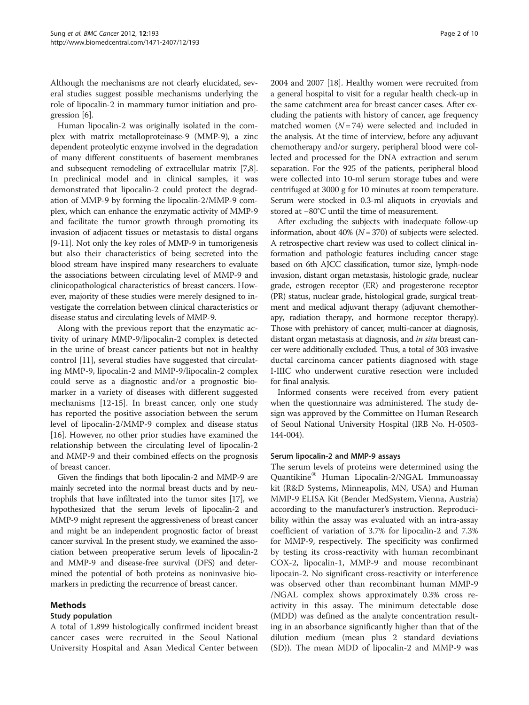Although the mechanisms are not clearly elucidated, several studies suggest possible mechanisms underlying the role of lipocalin-2 in mammary tumor initiation and progression [\[6](#page-8-0)].

Human lipocalin-2 was originally isolated in the complex with matrix metalloproteinase-9 (MMP-9), a zinc dependent proteolytic enzyme involved in the degradation of many different constituents of basement membranes and subsequent remodeling of extracellular matrix [[7](#page-8-0),[8](#page-8-0)]. In preclinical model and in clinical samples, it was demonstrated that lipocalin-2 could protect the degradation of MMP-9 by forming the lipocalin-2/MMP-9 complex, which can enhance the enzymatic activity of MMP-9 and facilitate the tumor growth through promoting its invasion of adjacent tissues or metastasis to distal organs [[9-11\]](#page-8-0). Not only the key roles of MMP-9 in tumorigenesis but also their characteristics of being secreted into the blood stream have inspired many researchers to evaluate the associations between circulating level of MMP-9 and clinicopathological characteristics of breast cancers. However, majority of these studies were merely designed to investigate the correlation between clinical characteristics or disease status and circulating levels of MMP-9.

Along with the previous report that the enzymatic activity of urinary MMP-9/lipocalin-2 complex is detected in the urine of breast cancer patients but not in healthy control [\[11](#page-8-0)], several studies have suggested that circulating MMP-9, lipocalin-2 and MMP-9/lipocalin-2 complex could serve as a diagnostic and/or a prognostic biomarker in a variety of diseases with different suggested mechanisms [\[12](#page-8-0)-[15\]](#page-8-0). In breast cancer, only one study has reported the positive association between the serum level of lipocalin-2/MMP-9 complex and disease status [[16\]](#page-8-0). However, no other prior studies have examined the relationship between the circulating level of lipocalin-2 and MMP-9 and their combined effects on the prognosis of breast cancer.

Given the findings that both lipocalin-2 and MMP-9 are mainly secreted into the normal breast ducts and by neutrophils that have infiltrated into the tumor sites [\[17\]](#page-8-0), we hypothesized that the serum levels of lipocalin-2 and MMP-9 might represent the aggressiveness of breast cancer and might be an independent prognostic factor of breast cancer survival. In the present study, we examined the association between preoperative serum levels of lipocalin-2 and MMP-9 and disease-free survival (DFS) and determined the potential of both proteins as noninvasive biomarkers in predicting the recurrence of breast cancer.

## Methods

## Study population

A total of 1,899 histologically confirmed incident breast cancer cases were recruited in the Seoul National University Hospital and Asan Medical Center between 2004 and 2007 [\[18](#page-8-0)]. Healthy women were recruited from a general hospital to visit for a regular health check-up in the same catchment area for breast cancer cases. After excluding the patients with history of cancer, age frequency matched women  $(N = 74)$  were selected and included in the analysis. At the time of interview, before any adjuvant chemotherapy and/or surgery, peripheral blood were collected and processed for the DNA extraction and serum separation. For the 925 of the patients, peripheral blood were collected into 10-ml serum storage tubes and were centrifuged at 3000 g for 10 minutes at room temperature. Serum were stocked in 0.3-ml aliquots in cryovials and stored at −80°C until the time of measurement.

After excluding the subjects with inadequate follow-up information, about 40% ( $N = 370$ ) of subjects were selected. A retrospective chart review was used to collect clinical information and pathologic features including cancer stage based on 6th AJCC classification, tumor size, lymph-node invasion, distant organ metastasis, histologic grade, nuclear grade, estrogen receptor (ER) and progesterone receptor (PR) status, nuclear grade, histological grade, surgical treatment and medical adjuvant therapy (adjuvant chemotherapy, radiation therapy, and hormone receptor therapy). Those with prehistory of cancer, multi-cancer at diagnosis, distant organ metastasis at diagnosis, and in situ breast cancer were additionally excluded. Thus, a total of 303 invasive ductal carcinoma cancer patients diagnosed with stage I-IIIC who underwent curative resection were included for final analysis.

Informed consents were received from every patient when the questionnaire was administered. The study design was approved by the Committee on Human Research of Seoul National University Hospital (IRB No. H-0503- 144-004).

## Serum lipocalin-2 and MMP-9 assays

The serum levels of proteins were determined using the Quantikine<sup>®</sup> Human Lipocalin-2/NGAL Immunoassay kit (R&D Systems, Minneapolis, MN, USA) and Human MMP-9 ELISA Kit (Bender MedSystem, Vienna, Austria) according to the manufacturer's instruction. Reproducibility within the assay was evaluated with an intra-assay coefficient of variation of 3.7% for lipocalin-2 and 7.3% for MMP-9, respectively. The specificity was confirmed by testing its cross-reactivity with human recombinant COX-2, lipocalin-1, MMP-9 and mouse recombinant lipocain-2. No significant cross-reactivity or interference was observed other than recombinant human MMP-9 /NGAL complex shows approximately 0.3% cross reactivity in this assay. The minimum detectable dose (MDD) was defined as the analyte concentration resulting in an absorbance significantly higher than that of the dilution medium (mean plus 2 standard deviations (SD)). The mean MDD of lipocalin-2 and MMP-9 was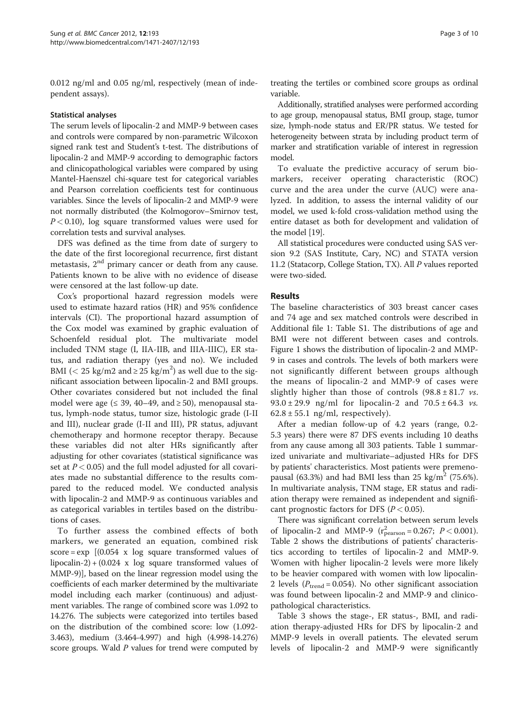0.012 ng/ml and 0.05 ng/ml, respectively (mean of independent assays).

#### Statistical analyses

The serum levels of lipocalin-2 and MMP-9 between cases and controls were compared by non-parametric Wilcoxon signed rank test and Student's t-test. The distributions of lipocalin-2 and MMP-9 according to demographic factors and clinicopathological variables were compared by using Mantel-Haenszel chi-square test for categorical variables and Pearson correlation coefficients test for continuous variables. Since the levels of lipocalin-2 and MMP-9 were not normally distributed (the Kolmogorov–Smirnov test,  $P < 0.10$ ), log square transformed values were used for correlation tests and survival analyses.

DFS was defined as the time from date of surgery to the date of the first locoregional recurrence, first distant metastasis,  $2<sup>nd</sup>$  primary cancer or death from any cause. Patients known to be alive with no evidence of disease were censored at the last follow-up date.

Cox's proportional hazard regression models were used to estimate hazard ratios (HR) and 95% confidence intervals (CI). The proportional hazard assumption of the Cox model was examined by graphic evaluation of Schoenfeld residual plot. The multivariate model included TNM stage (I, IIA-IIB, and IIIA-IIIC), ER status, and radiation therapy (yes and no). We included BMI (< 25 kg/m2 and  $\geq$  25 kg/m<sup>2</sup>) as well due to the significant association between lipocalin-2 and BMI groups. Other covariates considered but not included the final model were age ( $\leq$  39, 40–49, and  $\geq$  50), menopausal status, lymph-node status, tumor size, histologic grade (I-II and III), nuclear grade (I-II and III), PR status, adjuvant chemotherapy and hormone receptor therapy. Because these variables did not alter HRs significantly after adjusting for other covariates (statistical significance was set at  $P < 0.05$ ) and the full model adjusted for all covariates made no substantial difference to the results compared to the reduced model. We conducted analysis with lipocalin-2 and MMP-9 as continuous variables and as categorical variables in tertiles based on the distributions of cases.

To further assess the combined effects of both markers, we generated an equation, combined risk score =  $\exp$  [(0.054 x log square transformed values of lipocalin-2) +  $(0.024 \times \text{log} \cdot \text{square} \cdot \text{transformed} \cdot \text{values of})$ MMP-9)], based on the linear regression model using the coefficients of each marker determined by the multivariate model including each marker (continuous) and adjustment variables. The range of combined score was 1.092 to 14.276. The subjects were categorized into tertiles based on the distribution of the combined score: low (1.092- 3.463), medium (3.464-4.997) and high (4.998-14.276) score groups. Wald P values for trend were computed by

treating the tertiles or combined score groups as ordinal variable.

Additionally, stratified analyses were performed according to age group, menopausal status, BMI group, stage, tumor size, lymph-node status and ER/PR status. We tested for heterogeneity between strata by including product term of marker and stratification variable of interest in regression model.

To evaluate the predictive accuracy of serum biomarkers, receiver operating characteristic (ROC) curve and the area under the curve (AUC) were analyzed. In addition, to assess the internal validity of our model, we used k-fold cross-validation method using the entire dataset as both for development and validation of the model [[19](#page-8-0)].

All statistical procedures were conducted using SAS version 9.2 (SAS Institute, Cary, NC) and STATA version 11.2 (Statacorp, College Station, TX). All P values reported were two-sided.

#### Results

The baseline characteristics of 303 breast cancer cases and 74 age and sex matched controls were described in Additional file [1](#page-8-0): Table [S1.](#page-8-0) The distributions of age and BMI were not different between cases and controls. Figure [1](#page-3-0) shows the distribution of lipocalin-2 and MMP-9 in cases and controls. The levels of both markers were not significantly different between groups although the means of lipocalin-2 and MMP-9 of cases were slightly higher than those of controls  $(98.8 \pm 81.7 \text{ vs.})$ 93.0  $\pm$  29.9 ng/ml for lipocalin-2 and  $70.5 \pm 64.3$  vs.  $62.8 \pm 55.1$  ng/ml, respectively).

After a median follow-up of 4.2 years (range, 0.2- 5.3 years) there were 87 DFS events including 10 deaths from any cause among all 303 patients. Table [1](#page-4-0) summarized univariate and multivariate–adjusted HRs for DFS by patients' characteristics. Most patients were premenopausal (63.3%) and had BMI less than 25 kg/m<sup>2</sup> (75.6%). In multivariate analysis, TNM stage, ER status and radiation therapy were remained as independent and significant prognostic factors for DFS ( $P < 0.05$ ).

There was significant correlation between serum levels of lipocalin-2 and MMP-9  $(r_{\text{pearson}}^2 = 0.267; P < 0.001)$ . Table [2](#page-5-0) shows the distributions of patients' characteristics according to tertiles of lipocalin-2 and MMP-9. Women with higher lipocalin-2 levels were more likely to be heavier compared with women with low lipocalin-2 levels ( $P_{\text{trend}} = 0.054$ ). No other significant association was found between lipocalin-2 and MMP-9 and clinicopathological characteristics.

Table [3](#page-6-0) shows the stage-, ER status-, BMI, and radiation therapy-adjusted HRs for DFS by lipocalin-2 and MMP-9 levels in overall patients. The elevated serum levels of lipocalin-2 and MMP-9 were significantly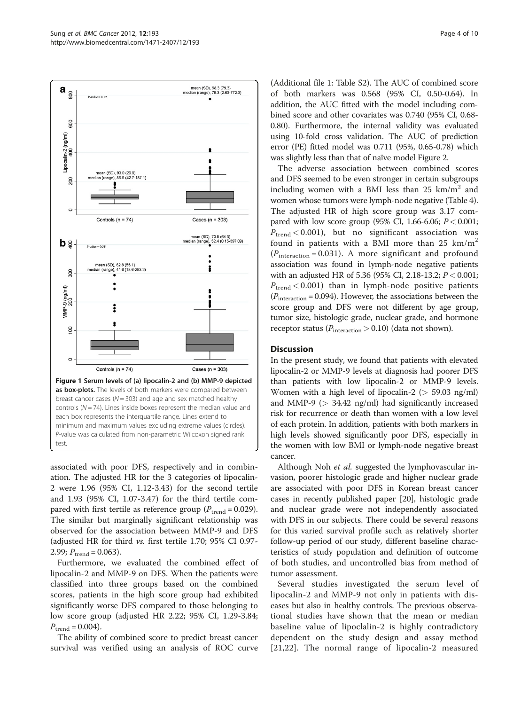<span id="page-3-0"></span>

associated with poor DFS, respectively and in combination. The adjusted HR for the 3 categories of lipocalin-2 were 1.96 (95% CI, 1.12-3.43) for the second tertile and 1.93 (95% CI, 1.07-3.47) for the third tertile compared with first tertile as reference group ( $P_{\text{trend}} = 0.029$ ). The similar but marginally significant relationship was observed for the association between MMP-9 and DFS (adjusted HR for third vs. first tertile 1.70; 95% CI 0.97- 2.99;  $P_{\text{trend}} = 0.063$ ).

Furthermore, we evaluated the combined effect of lipocalin-2 and MMP-9 on DFS. When the patients were classified into three groups based on the combined scores, patients in the high score group had exhibited significantly worse DFS compared to those belonging to low score group (adjusted HR 2.22; 95% CI, 1.29-3.84;  $P_{\text{trend}} = 0.004$ ).

The ability of combined score to predict breast cancer survival was verified using an analysis of ROC curve

(Additional file [1](#page-8-0): Table [S2](#page-8-0)). The AUC of combined score of both markers was 0.568 (95% CI, 0.50-0.64). In addition, the AUC fitted with the model including combined score and other covariates was 0.740 (95% CI, 0.68- 0.80). Furthermore, the internal validity was evaluated using 10-fold cross validation. The AUC of prediction error (PE) fitted model was 0.711 (95%, 0.65-0.78) which was slightly less than that of naïve model Figure [2](#page-6-0).

The adverse association between combined scores and DFS seemed to be even stronger in certain subgroups including women with a BMI less than 25  $km/m^2$  and women whose tumors were lymph-node negative (Table [4](#page-7-0)). The adjusted HR of high score group was 3.17 compared with low score group (95% CI, 1.66-6.06;  $P < 0.001$ ;  $P_{\text{trend}} < 0.001$ , but no significant association was found in patients with a BMI more than  $25 \text{ km/m}^2$  $(P_{\text{interaction}} = 0.031)$ . A more significant and profound association was found in lymph-node negative patients with an adjusted HR of 5.36 (95% CI, 2.18-13.2;  $P < 0.001$ ;  $P_{\text{trend}} < 0.001$ ) than in lymph-node positive patients  $(P_{\text{interaction}} = 0.094)$ . However, the associations between the score group and DFS were not different by age group, tumor size, histologic grade, nuclear grade, and hormone receptor status ( $P_{\text{interaction}} > 0.10$ ) (data not shown).

## **Discussion**

In the present study, we found that patients with elevated lipocalin-2 or MMP-9 levels at diagnosis had poorer DFS than patients with low lipocalin-2 or MMP-9 levels. Women with a high level of lipocalin-2 ( $>$  59.03 ng/ml) and MMP-9 ( $>$  34.42 ng/ml) had significantly increased risk for recurrence or death than women with a low level of each protein. In addition, patients with both markers in high levels showed significantly poor DFS, especially in the women with low BMI or lymph-node negative breast cancer.

Although Noh *et al.* suggested the lymphovascular invasion, poorer histologic grade and higher nuclear grade are associated with poor DFS in Korean breast cancer cases in recently published paper [\[20\]](#page-8-0), histologic grade and nuclear grade were not independently associated with DFS in our subjects. There could be several reasons for this varied survival profile such as relatively shorter follow-up period of our study, different baseline characteristics of study population and definition of outcome of both studies, and uncontrolled bias from method of tumor assessment.

Several studies investigated the serum level of lipocalin-2 and MMP-9 not only in patients with diseases but also in healthy controls. The previous observational studies have shown that the mean or median baseline value of lipoclalin-2 is highly contradictory dependent on the study design and assay method [[21](#page-8-0),[22\]](#page-8-0). The normal range of lipocalin-2 measured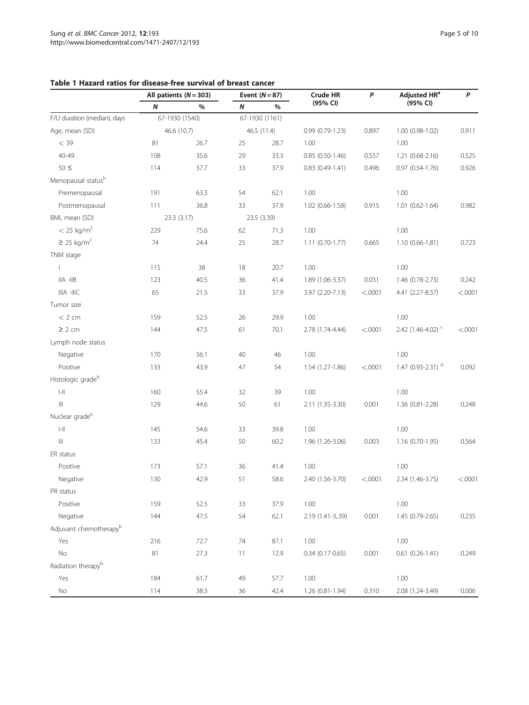|                                       | All patients $(N = 303)$ |             | Event $(N=87)$ |             | Crude HR          | P       | Adjusted HR <sup>a</sup>      | P       |
|---------------------------------------|--------------------------|-------------|----------------|-------------|-------------------|---------|-------------------------------|---------|
|                                       | $\boldsymbol{N}$         | %           | N              | %           | (95% CI)          |         | (95% CI)                      |         |
| F/U duration (median), days           | 67-1930 (1540)           |             | 67-1930 (1161) |             |                   |         |                               |         |
| Age, mean (SD)                        |                          | 46.6 (10.7) |                | 46.5 (11.4) | $0.99(0.79-1.23)$ | 0.897   | 1.00 (0.98-1.02)              | 0.911   |
| $<$ 39                                | 81                       | 26.7        | 25             | 28.7        | 1.00              |         | 1.00                          |         |
| $40 - 49$                             | 108                      | 35.6        | 29             | 33.3        | $0.85(0.50-1.46)$ | 0.557   | $1.21(0.68-2.16)$             | 0.525   |
| $50 \leq$                             | 114                      | 37.7        | 33             | 37.9        | $0.83(0.49-1.41)$ | 0.496   | $0.97(0.54-1.76)$             | 0.926   |
| Menopausal status <sup>b</sup>        |                          |             |                |             |                   |         |                               |         |
| Premenopausal                         | 191                      | 63.3        | 54             | 62.1        | 1.00              |         | 1.00                          |         |
| Postmenopausal                        | 111                      | 36.8        | 33             | 37.9        | 1.02 (0.66-1.58)  | 0.915   | 1.01 (0.62-1.64)              | 0.982   |
| BMI, mean (SD)                        |                          | 23.3 (3.17) |                | 23.5 (3.39) |                   |         |                               |         |
| $< 25$ kg/m <sup>2</sup>              | 229                      | 75.6        | 62             | 71.3        | 1.00              |         | 1.00                          |         |
| $\geq$ 25 kg/m <sup>2</sup>           | 74                       | 24.4        | 25             | 28.7        | 1.11 (0.70-1.77)  | 0.665   | 1.10 (0.66-1.81)              | 0.723   |
| TNM stage                             |                          |             |                |             |                   |         |                               |         |
| $\mathbf{I}$                          | 115                      | 38          | 18             | 20.7        | 1.00              |         | 1.00                          |         |
| $  A -   B$                           | 123                      | 40.5        | 36             | 41.4        | 1.89 (1.06-3.37)  | 0.031   | 1.46 (0.78-2.73)              | 0.242   |
| IIIA -IIIC                            | 65                       | 21.5        | 33             | 37.9        | 3.97 (2.20-7.13)  | < .0001 | 4.41 (2.27-8.57)              | < .0001 |
| Tumor size                            |                          |             |                |             |                   |         |                               |         |
| $< 2$ cm                              | 159                      | 52.5        | 26             | 29.9        | 1.00              |         | 1.00                          |         |
| $\geq 2$ cm                           | 144                      | 47.5        | 61             | 70.1        | 2.78 (1.74-4.44)  | < .0001 | 2.42 (1.46-4.02) <sup>c</sup> | < .0001 |
| Lymph node status                     |                          |             |                |             |                   |         |                               |         |
| Negative                              | 170                      | 56.1        | 40             | 46          | 1.00              |         | 1.00                          |         |
| Positive                              | 133                      | 43.9        | 47             | 54          | 1.54 (1.27-1.86)  | < .0001 | 1.47 (0.93-2.31) <sup>d</sup> | 0.092   |
| Histologic grade <sup>b</sup>         |                          |             |                |             |                   |         |                               |         |
| $\left\  - \right\ $                  | 160                      | 55.4        | 32             | 39          | 1.00              |         | 1.00                          |         |
| $\  \ $                               | 129                      | 44.6        | 50             | 61          | 2.11 (1.35-3.30)  | 0.001   | 1.36 (0.81-2.28)              | 0.248   |
| Nuclear grade <sup>b</sup>            |                          |             |                |             |                   |         |                               |         |
| $\left\vert -\right\vert \right\vert$ | 145                      | 54.6        | 33             | 39.8        | 1.00              |         | 1.00                          |         |
| $\left\vert \right\vert \right\vert$  | 133                      | 45.4        | 50             | 60.2        | 1.96 (1.26-3.06)  | 0.003   | $1.16(0.70-1.95)$             | 0.564   |
| ER status                             |                          |             |                |             |                   |         |                               |         |
| Positive                              | 173                      | 57.1        | 36             | 41.4        | 1.00              |         | 1.00                          |         |
| Negative                              | 130                      | 42.9        | 51             | 58.6        | 2.40 (1.56-3.70)  | < .0001 | 2.34 (1.46-3.75)              | < .0001 |
| PR status                             |                          |             |                |             |                   |         |                               |         |
| Positive                              | 159                      | 52.5        | 33             | 37.9        | 1.00              |         | 1.00                          |         |
| Negative                              | 144                      | 47.5        | 54             | 62.1        | 2.19 (1.41-3,.39) | 0.001   | 1.45 (0.79-2.65)              | 0.235   |
| Adjuvant chemotherapy <sup>b</sup>    |                          |             |                |             |                   |         |                               |         |
| Yes                                   | 216                      | 72.7        | 74             | 87.1        | 1.00              |         | $1.00\,$                      |         |
| No                                    | 81                       | 27.3        | 11             | 12.9        | $0.34(0.17-0.65)$ | 0.001   | $0.61(0.26 - 1.41)$           | 0.249   |
| Radiation therapy <sup>b</sup>        |                          |             |                |             |                   |         |                               |         |
| Yes                                   | 184                      | 61.7        | 49             | 57.7        | 1.00              |         | 1.00                          |         |
| $\rm No$                              | 114                      | 38.3        | 36             | 42.4        | 1.26 (0.81-1.94)  | 0.310   | 2.08 (1.24-3.49)              | 0.006   |

## <span id="page-4-0"></span>Table 1 Hazard ratios for disease-free survival of breast cancer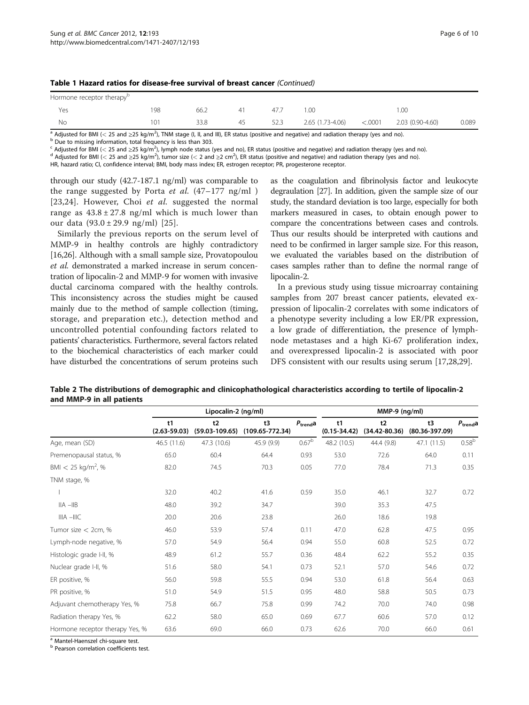<span id="page-5-0"></span>

|  |  |  |  |  | Table 1 Hazard ratios for disease-free survival of breast cancer (Continued) |  |  |  |  |
|--|--|--|--|--|------------------------------------------------------------------------------|--|--|--|--|
|--|--|--|--|--|------------------------------------------------------------------------------|--|--|--|--|

| Hormone receptor therapy <sup>p</sup> |                 |      |    |      |                  |         |                  |       |
|---------------------------------------|-----------------|------|----|------|------------------|---------|------------------|-------|
| Yes                                   | 198             | 66.2 |    | 47.7 |                  |         | .oc              |       |
| Nс                                    | 10 <sup>1</sup> | 33.8 | 45 | 52.3 | 2.65 (1.73-4.06) | < .0001 | 2.03 (0.90-4.60) | 0.089 |

<sup>a</sup> Adjusted for BMI (< 25 and ≥25 kg/m<sup>2</sup>), TNM stage (I, II, and III), ER status (positive and negative) and radiation therapy (yes and no).<br><sup>b</sup> Due to missing information, total frequency is less than 303.

<sup>b</sup> Due to missing information, total frequency is less than 303.<br>C Adjusted for BMI (< 25 and ≥25 kg/m<sup>2</sup>), lymph node status (yes and no), ER status (positive and negative) and radiation therapy (yes and no). <sup>c</sup> Adjusted for BMI (< 25 and ≥25 kg/m<sup>2</sup>), lymph node status (yes and no), ER status (positive and negative) and radiation therapy (yes and no).<br><sup>d</sup> Adjusted for BMI (< 25 and ≥25 kg/m<sup>2</sup>), tumor size (< 2 and ≥2 cm<sup>2</sup>)

HR, hazard ratio; CI, confidence interval; BMI, body mass index; ER, estrogen receptor; PR, progesterone receptor.

through our study (42.7-187.1 ng/ml) was comparable to the range suggested by Porta *et al.*  $(47-177 \text{ ng/ml})$ [[23](#page-8-0),[24\]](#page-9-0). However, Choi et al. suggested the normal range as  $43.8 \pm 27.8$  ng/ml which is much lower than our data (93.0 ± 29.9 ng/ml) [[25](#page-9-0)].

Similarly the previous reports on the serum level of MMP-9 in healthy controls are highly contradictory [[16](#page-8-0)[,26](#page-9-0)]. Although with a small sample size, Provatopoulou et al. demonstrated a marked increase in serum concentration of lipocalin-2 and MMP-9 for women with invasive ductal carcinoma compared with the healthy controls. This inconsistency across the studies might be caused mainly due to the method of sample collection (timing, storage, and preparation etc.), detection method and uncontrolled potential confounding factors related to patients' characteristics. Furthermore, several factors related to the biochemical characteristics of each marker could have disturbed the concentrations of serum proteins such

as the coagulation and fibrinolysis factor and leukocyte degraulation [[27](#page-9-0)]. In addition, given the sample size of our study, the standard deviation is too large, especially for both markers measured in cases, to obtain enough power to compare the concentrations between cases and controls. Thus our results should be interpreted with cautions and need to be confirmed in larger sample size. For this reason, we evaluated the variables based on the distribution of cases samples rather than to define the normal range of lipocalin-2.

In a previous study using tissue microarray containing samples from 207 breast cancer patients, elevated expression of lipocalin-2 correlates with some indicators of a phenotype severity including a low ER/PR expression, a low grade of differentiation, the presence of lymphnode metastases and a high Ki-67 proliferation index, and overexpressed lipocalin-2 is associated with poor DFS consistent with our results using serum [\[17,](#page-8-0)[28,29\]](#page-9-0).

| Table 2 The distributions of demographic and clinicophathological characteristics according to tertile of lipocalin-2 |  |
|-----------------------------------------------------------------------------------------------------------------------|--|
| and MMP-9 in all patients                                                                                             |  |

|                                  |                        | Lipocalin-2 (ng/ml)      |                           | $MMP-9$ (ng/ml)   |                        |                         |                          |                      |
|----------------------------------|------------------------|--------------------------|---------------------------|-------------------|------------------------|-------------------------|--------------------------|----------------------|
|                                  | t1<br>$(2.63 - 59.03)$ | t2<br>$(59.03 - 109.65)$ | t3<br>$(109.65 - 772.34)$ | $P_{\rm trend}$ a | t1<br>$(0.15 - 34.42)$ | t2<br>$(34.42 - 80.36)$ | t3<br>$(80.36 - 397.09)$ | $P_{\text{trend}}$ a |
| Age, mean (SD)                   | 46.5 (11.6)            | 47.3 (10.6)              | 45.9 (9.9)                | 0.67 <sup>b</sup> | 48.2 (10.5)            | 44.4 (9.8)              | 47.1 (11.5)              | 0.58 <sup>b</sup>    |
| Premenopausal status, %          | 65.0                   | 60.4                     | 64.4                      | 0.93              | 53.0                   | 72.6                    | 64.0                     | 0.11                 |
| BMI $<$ 25 kg/m <sup>2</sup> , % | 82.0                   | 74.5                     | 70.3                      | 0.05              | 77.0                   | 78.4                    | 71.3                     | 0.35                 |
| TNM stage, %                     |                        |                          |                           |                   |                        |                         |                          |                      |
|                                  | 32.0                   | 40.2                     | 41.6                      | 0.59              | 35.0                   | 46.1                    | 32.7                     | 0.72                 |
| $IIA$ $-IIB$                     | 48.0                   | 39.2                     | 34.7                      |                   | 39.0                   | 35.3                    | 47.5                     |                      |
| $IIIA - IIIC$                    | 20.0                   | 20.6                     | 23.8                      |                   | 26.0                   | 18.6                    | 19.8                     |                      |
| Tumor size $<$ 2cm, %            | 46.0                   | 53.9                     | 57.4                      | 0.11              | 47.0                   | 62.8                    | 47.5                     | 0.95                 |
| Lymph-node negative, %           | 57.0                   | 54.9                     | 56.4                      | 0.94              | 55.0                   | 60.8                    | 52.5                     | 0.72                 |
| Histologic grade I-II, %         | 48.9                   | 61.2                     | 55.7                      | 0.36              | 48.4                   | 62.2                    | 55.2                     | 0.35                 |
| Nuclear grade I-II, %            | 51.6                   | 58.0                     | 54.1                      | 0.73              | 52.1                   | 57.0                    | 54.6                     | 0.72                 |
| ER positive, %                   | 56.0                   | 59.8                     | 55.5                      | 0.94              | 53.0                   | 61.8                    | 56.4                     | 0.63                 |
| PR positive, %                   | 51.0                   | 54.9                     | 51.5                      | 0.95              | 48.0                   | 58.8                    | 50.5                     | 0.73                 |
| Adjuvant chemotherapy Yes, %     | 75.8                   | 66.7                     | 75.8                      | 0.99              | 74.2                   | 70.0                    | 74.0                     | 0.98                 |
| Radiation therapy Yes, %         | 62.2                   | 58.0                     | 65.0                      | 0.69              | 67.7                   | 60.6                    | 57.0                     | 0.12                 |
| Hormone receptor therapy Yes, %  | 63.6                   | 69.0                     | 66.0                      | 0.73              | 62.6                   | 70.0                    | 66.0                     | 0.61                 |

<sup>a</sup> Mantel-Haenszel chi-square test.

**b** Pearson correlation coefficients test.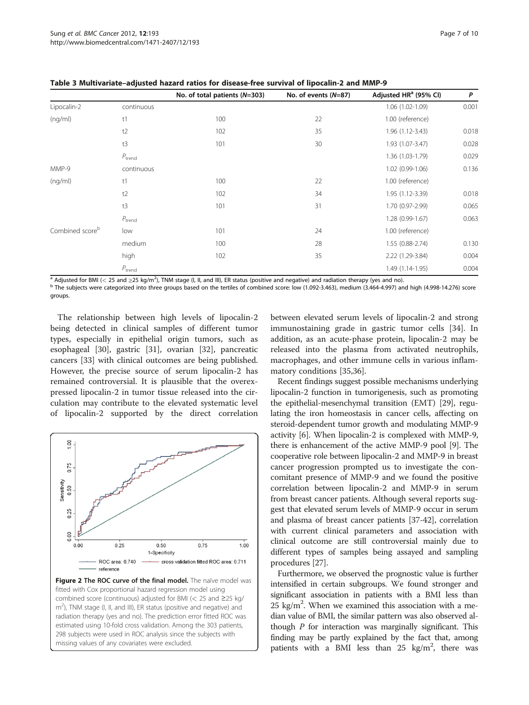|                             |                    | No. of total patients (N=303) | No. of events $(N=87)$ | Adjusted HR <sup>a</sup> (95% CI) | P     |
|-----------------------------|--------------------|-------------------------------|------------------------|-----------------------------------|-------|
| Lipocalin-2                 | continuous         |                               |                        | 1.06 (1.02-1.09)                  | 0.001 |
| (nq/ml)                     | t1                 | 100                           | 22                     | 1.00 (reference)                  |       |
|                             | t2                 | 102                           | 35                     | 1.96 (1.12-3.43)                  | 0.018 |
|                             | t3                 | 101                           | 30                     | 1.93 (1.07-3.47)                  | 0.028 |
|                             | $P_{\text{trend}}$ |                               |                        | 1.36 (1.03-1.79)                  | 0.029 |
| MMP-9                       | continuous         |                               |                        | 1.02 (0.99-1.06)                  | 0.136 |
| (nq/ml)                     | t1                 | 100                           | 22                     | 1.00 (reference)                  |       |
|                             | t2                 | 102                           | 34                     | 1.95 (1.12-3.39)                  | 0.018 |
|                             | t3                 | 101                           | 31                     | 1.70 (0.97-2.99)                  | 0.065 |
|                             | $P_{\text{trend}}$ |                               |                        | $1.28(0.99-1.67)$                 | 0.063 |
| Combined score <sup>b</sup> | low                | 101                           | 24                     | 1.00 (reference)                  |       |
|                             | medium             | 100                           | 28                     | $1.55(0.88-2.74)$                 | 0.130 |
|                             | high               | 102                           | 35                     | 2.22 (1.29-3.84)                  | 0.004 |
|                             | $P_{\text{trend}}$ |                               |                        | 1.49 (1.14-1.95)                  | 0.004 |

<span id="page-6-0"></span>Table 3 Multivariate–adjusted hazard ratios for disease-free survival of lipocalin-2 and MMP-9

<sup>a</sup> Adjusted for BMI (< 25 and ≥25 kg/m<sup>2</sup>), TNM stage (I, II, and III), ER status (positive and negative) and radiation therapy (yes and no).

<sup>b</sup> The subjects were categorized into three groups based on the tertiles of combined score: low (1.092-3.463), medium (3.464-4.997) and high (4.998-14.276) score groups.

The relationship between high levels of lipocalin-2 being detected in clinical samples of different tumor types, especially in epithelial origin tumors, such as esophageal [\[30\]](#page-9-0), gastric [\[31\]](#page-9-0), ovarian [\[32](#page-9-0)], pancreatic cancers [[33\]](#page-9-0) with clinical outcomes are being published. However, the precise source of serum lipocalin-2 has remained controversial. It is plausible that the overexpressed lipocalin-2 in tumor tissue released into the circulation may contribute to the elevated systematic level of lipocalin-2 supported by the direct correlation



m<sup>2</sup>), TNM stage (I, II, and III), ER status (positive and negative) and radiation therapy (yes and no). The prediction error fitted ROC was estimated using 10-fold cross validation. Among the 303 patients, 298 subjects were used in ROC analysis since the subjects with missing values of any covariates were excluded.

between elevated serum levels of lipocalin-2 and strong immunostaining grade in gastric tumor cells [\[34\]](#page-9-0). In addition, as an acute-phase protein, lipocalin-2 may be released into the plasma from activated neutrophils, macrophages, and other immune cells in various inflammatory conditions [\[35,36](#page-9-0)].

Recent findings suggest possible mechanisms underlying lipocalin-2 function in tumorigenesis, such as promoting the epithelial-mesenchymal transition (EMT) [\[29\]](#page-9-0), regulating the iron homeostasis in cancer cells, affecting on steroid-dependent tumor growth and modulating MMP-9 activity [[6\]](#page-8-0). When lipocalin-2 is complexed with MMP-9, there is enhancement of the active MMP-9 pool [\[9](#page-8-0)]. The cooperative role between lipocalin-2 and MMP-9 in breast cancer progression prompted us to investigate the concomitant presence of MMP-9 and we found the positive correlation between lipocalin-2 and MMP-9 in serum from breast cancer patients. Although several reports suggest that elevated serum levels of MMP-9 occur in serum and plasma of breast cancer patients [\[37-42](#page-9-0)], correlation with current clinical parameters and association with clinical outcome are still controversial mainly due to different types of samples being assayed and sampling procedures [[27](#page-9-0)].

Furthermore, we observed the prognostic value is further intensified in certain subgroups. We found stronger and significant association in patients with a BMI less than  $25 \text{ kg/m}^2$ . When we examined this association with a median value of BMI, the similar pattern was also observed although P for interaction was marginally significant. This finding may be partly explained by the fact that, among patients with a BMI less than  $25 \text{ kg/m}^2$ , there was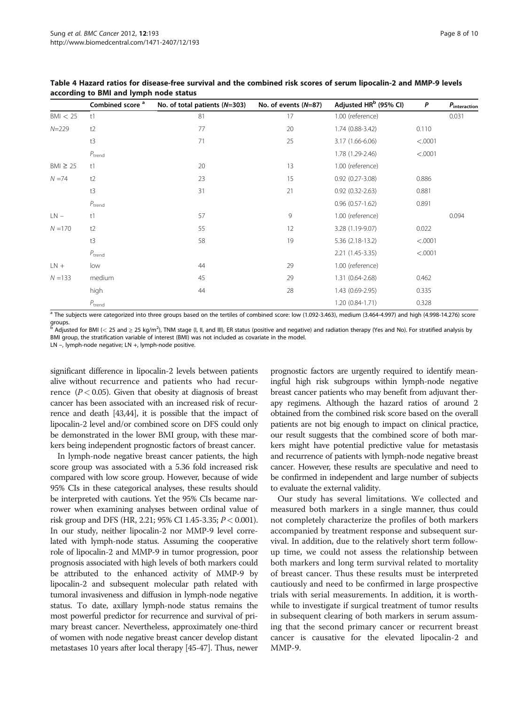|              | Combined score <sup>a</sup> | No. of total patients (N=303) | No. of events $(N=87)$ | Adjusted HR <sup>b</sup> (95% CI) | P       | $P_{\text{interaction}}$ |
|--------------|-----------------------------|-------------------------------|------------------------|-----------------------------------|---------|--------------------------|
| BM < 25      | t1                          | 81                            | 17                     | 1.00 (reference)                  |         | 0.031                    |
| $N = 229$    | t2                          | 77                            | 20                     | 1.74 (0.88-3.42)                  | 0.110   |                          |
|              | t3                          | 71                            | 25                     | 3.17 (1.66-6.06)                  | < .0001 |                          |
|              | $P_{\rm trend}$             |                               |                        | 1.78 (1.29-2.46)                  | < .0001 |                          |
| $BM \geq 25$ | t1                          | 20                            | 13                     | 1.00 (reference)                  |         |                          |
| $N = 74$     | t2                          | 23                            | 15                     | $0.92$ $(0.27 - 3.08)$            | 0.886   |                          |
|              | t3                          | 31                            | 21                     | $0.92$ $(0.32 - 2.63)$            | 0.881   |                          |
|              | $P_{\rm trend}$             |                               |                        | $0.96$ $(0.57 - 1.62)$            | 0.891   |                          |
| $LN -$       | t1                          | 57                            | 9                      | 1.00 (reference)                  |         | 0.094                    |
| $N = 170$    | t2                          | 55                            | 12                     | 3.28 (1.19-9.07)                  | 0.022   |                          |
|              | t3                          | 58                            | 19                     | 5.36 (2.18-13.2)                  | < .0001 |                          |
|              | $P_{\text{trend}}$          |                               |                        | 2.21 (1.45-3.35)                  | < .0001 |                          |
| $LN +$       | low                         | 44                            | 29                     | 1.00 (reference)                  |         |                          |
| $N = 133$    | medium                      | 45                            | 29                     | 1.31 (0.64-2.68)                  | 0.462   |                          |
|              | high                        | 44                            | 28                     | 1.43 (0.69-2.95)                  | 0.335   |                          |
|              | $P_{\rm trend}$             |                               |                        | 1.20 (0.84-1.71)                  | 0.328   |                          |

<span id="page-7-0"></span>Table 4 Hazard ratios for disease-free survival and the combined risk scores of serum lipocalin-2 and MMP-9 levels according to BMI and lymph node status

<sup>a</sup> The subjects were categorized into three groups based on the tertiles of combined score: low (1.092-3.463), medium (3.464-4.997) and high (4.998-14.276) score groups.<br>b Ad:

 $^{\rm b}$  Adjusted for BMI (< 25 and ≥ 25 kg/m<sup>2</sup>), TNM stage (I, II, and III), ER status (positive and negative) and radiation therapy (Yes and No). For stratified analysis by BMI group, the stratification variable of interest (BMI) was not included as covariate in the model. LN -, lymph-node negative; LN +, lymph-node positive.

significant difference in lipocalin-2 levels between patients alive without recurrence and patients who had recurrence  $(P < 0.05)$ . Given that obesity at diagnosis of breast cancer has been associated with an increased risk of recurrence and death [\[43,44\]](#page-9-0), it is possible that the impact of lipocalin-2 level and/or combined score on DFS could only be demonstrated in the lower BMI group, with these markers being independent prognostic factors of breast cancer.

In lymph-node negative breast cancer patients, the high score group was associated with a 5.36 fold increased risk compared with low score group. However, because of wide 95% CIs in these categorical analyses, these results should be interpreted with cautions. Yet the 95% CIs became narrower when examining analyses between ordinal value of risk group and DFS (HR, 2.21; 95% CI 1.45-3.35;  $P < 0.001$ ). In our study, neither lipocalin-2 nor MMP-9 level correlated with lymph-node status. Assuming the cooperative role of lipocalin-2 and MMP-9 in tumor progression, poor prognosis associated with high levels of both markers could be attributed to the enhanced activity of MMP-9 by lipocalin-2 and subsequent molecular path related with tumoral invasiveness and diffusion in lymph-node negative status. To date, axillary lymph-node status remains the most powerful predictor for recurrence and survival of primary breast cancer. Nevertheless, approximately one-third of women with node negative breast cancer develop distant metastases 10 years after local therapy [[45](#page-9-0)-[47\]](#page-9-0). Thus, newer

prognostic factors are urgently required to identify meaningful high risk subgroups within lymph-node negative breast cancer patients who may benefit from adjuvant therapy regimens. Although the hazard ratios of around 2 obtained from the combined risk score based on the overall patients are not big enough to impact on clinical practice, our result suggests that the combined score of both markers might have potential predictive value for metastasis and recurrence of patients with lymph-node negative breast cancer. However, these results are speculative and need to be confirmed in independent and large number of subjects to evaluate the external validity.

Our study has several limitations. We collected and measured both markers in a single manner, thus could not completely characterize the profiles of both markers accompanied by treatment response and subsequent survival. In addition, due to the relatively short term followup time, we could not assess the relationship between both markers and long term survival related to mortality of breast cancer. Thus these results must be interpreted cautiously and need to be confirmed in large prospective trials with serial measurements. In addition, it is worthwhile to investigate if surgical treatment of tumor results in subsequent clearing of both markers in serum assuming that the second primary cancer or recurrent breast cancer is causative for the elevated lipocalin-2 and MMP-9.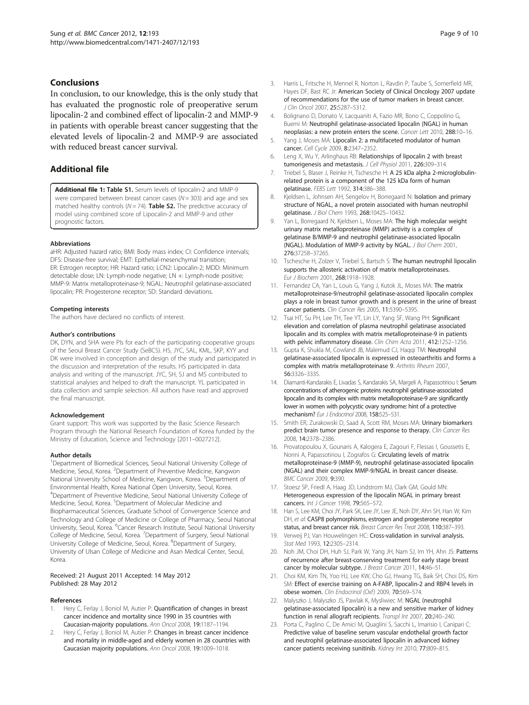## <span id="page-8-0"></span>Conclusions

In conclusion, to our knowledge, this is the only study that has evaluated the prognostic role of preoperative serum lipocalin-2 and combined effect of lipocalin-2 and MMP-9 in patients with operable breast cancer suggesting that the elevated levels of lipocalin-2 and MMP-9 are associated with reduced breast cancer survival.

## Additional file

[Additional file 1:](http://www.biomedcentral.com/content/supplementary/1471-2407-12-193.doc) Table S1. Serum levels of lipocalin-2 and MMP-9 were compared between breast cancer cases ( $N = 303$ ) and age and sex matched healthy controls ( $N = 74$ ). Table S2. The predictive accuracy of model using combined score of Lipocalin-2 and MMP-9 and other prognostic factors.

#### Abbreviations

aHR: Adjusted hazard ratio; BMI: Body mass index; CI: Confidence intervals; DFS: Disease-free survival; EMT: Epithelial-mesenchymal transition; ER: Estrogen receptor; HR: Hazard ratio; LCN2: Lipocalin-2; MDD: Minimum detectable dose; LN: Lymph-node negative; LN +: Lymph-node positive; MMP-9: Matrix metalloproteinase-9; NGAL: Neutrophil gelatinase-associated lipocalin; PR: Progesterone receptor; SD: Standard deviations.

#### Competing interests

The authors have declared no conflicts of interest.

#### Author's contributions

DK, DYN, and SHA were PIs for each of the participating cooperative groups of the Seoul Breast Cancer Study (SeBCS). HS, JYC, SAL, KML, SKP, KYY and DK were involved in conception and design of the study and participated in the discussion and interpretation of the results. HS participated in data analysis and writing of the manuscript. JYC, SH, SJ and MS contributed to statistical analyses and helped to draft the manuscript. YL participated in data collection and sample selection. All authors have read and approved the final manuscript.

#### Acknowledgement

Grant support: This work was supported by the Basic Science Research Program through the National Research Foundation of Korea funded by the Ministry of Education, Science and Technology [2011–0027212].

#### Author details

<sup>1</sup>Department of Biomedical Sciences, Seoul National University College of Medicine, Seoul, Korea. <sup>2</sup>Department of Preventive Medicine, Kangwon National University School of Medicine, Kangwon, Korea. <sup>3</sup>Department of Environmental Health, Korea National Open University, Seoul, Korea. 4 Department of Preventive Medicine, Seoul National University College of Medicine, Seoul, Korea. <sup>5</sup>Department of Molecular Medicine and Biopharmaceutical Sciences, Graduate School of Convergence Science and Technology and College of Medicine or College of Pharmacy, Seoul National University, Seoul, Korea. <sup>6</sup>Cancer Research Institute, Seoul National University College of Medicine, Seoul, Korea. <sup>7</sup>Department of Surgery, Seoul National University College of Medicine, Seoul, Korea. <sup>8</sup>Department of Surgery, University of Ulsan College of Medicine and Asan Medical Center, Seoul, Korea.

#### Received: 21 August 2011 Accepted: 14 May 2012 Published: 28 May 2012

#### References

- Hery C, Ferlay J, Boniol M, Autier P: Quantification of changes in breast cancer incidence and mortality since 1990 in 35 countries with Caucasian-majority populations. Ann Oncol 2008, 19:1187–1194.
- 2. Hery C, Ferlay J, Boniol M, Autier P: Changes in breast cancer incidence and mortality in middle-aged and elderly women in 28 countries with Caucasian majority populations. Ann Oncol 2008, 19:1009–1018.
- 3. Harris L, Fritsche H, Mennel R, Norton L, Ravdin P, Taube S, Somerfield MR, Hayes DF, Bast RC Jr: American Society of Clinical Oncology 2007 update of recommendations for the use of tumor markers in breast cancer. J Clin Oncol 2007, 25:5287–5312.
- 4. Bolignano D, Donato V, Lacquaniti A, Fazio MR, Bono C, Coppolino G, Buemi M: Neutrophil gelatinase-associated lipocalin (NGAL) in human neoplasias: a new protein enters the scene. Cancer Lett 2010, 288:10–16.
- 5. Yang J, Moses MA: Lipocalin 2: a multifaceted modulator of human cancer. Cell Cycle 2009, 8:2347–2352.
- 6. Leng X, Wu Y, Arlinghaus RB: Relationships of lipocalin 2 with breast tumorigenesis and metastasis. J Cell Physiol 2011, 226:309–314.
- 7. Triebel S, Blaser J, Reinke H, Tschesche H: A 25 kDa alpha 2-microglobulinrelated protein is a component of the 125 kDa form of human gelatinase. FEBS Lett 1992, 314:386–388.
- 8. Kjeldsen L, Johnsen AH, Sengelov H, Borregaard N: Isolation and primary structure of NGAL, a novel protein associated with human neutrophil gelatinase. J Biol Chem 1993, 268:10425–10432.
- 9. Yan L, Borregaard N, Kjeldsen L, Moses MA: The high molecular weight urinary matrix metalloproteinase (MMP) activity is a complex of gelatinase B/MMP-9 and neutrophil gelatinase-associated lipocalin (NGAL). Modulation of MMP-9 activity by NGAL. J Biol Chem 2001, 276:37258–37265.
- 10. Tschesche H, Zolzer V, Triebel S, Bartsch S: The human neutrophil lipocalin supports the allosteric activation of matrix metalloproteinases. Eur J Biochem 2001, 268:1918–1928.
- 11. Fernandez CA, Yan L, Louis G, Yang J, Kutok JL, Moses MA: The matrix metalloproteinase-9/neutrophil gelatinase-associated lipocalin complex plays a role in breast tumor growth and is present in the urine of breast cancer patients. Clin Cancer Res 2005, 11:5390–5395.
- 12. Tsai HT, Su PH, Lee TH, Tee YT, Lin LY, Yang SF, Wang PH: Significant elevation and correlation of plasma neutrophil gelatinase associated lipocalin and its complex with matrix metalloproteinase-9 in patients with pelvic inflammatory disease. Clin Chim Acta 2011, 412:1252-1256.
- 13. Gupta K, Shukla M, Cowland JB, Malemud CJ, Haqqi TM: Neutrophil gelatinase-associated lipocalin is expressed in osteoarthritis and forms a complex with matrix metalloproteinase 9. Arthritis Rheum 2007, 56:3326–3335.
- 14. Diamanti-Kandarakis E, Livadas S, Kandarakis SA, Margeli A, Papassotiriou I: Serum concentrations of atherogenic proteins neutrophil gelatinase-associated lipocalin and its complex with matrix metalloproteinase-9 are significantly lower in women with polycystic ovary syndrome: hint of a protective mechanism? Eur J Endocrinol 2008, 158:525–531.
- 15. Smith ER, Zurakowski D, Saad A, Scott RM, Moses MA: Urinary biomarkers predict brain tumor presence and response to therapy. Clin Cancer Res 2008, 14:2378–2386.
- 16. Provatopoulou X, Gounaris A, Kalogera E, Zagouri F, Flessas I, Goussetis E, Nonni A, Papassotiriou I, Zografos G: Circulating levels of matrix metalloproteinase-9 (MMP-9), neutrophil gelatinase-associated lipocalin (NGAL) and their complex MMP-9/NGAL in breast cancer disease. BMC Cancer 2009, 9:390.
- 17. Stoesz SP, Friedl A, Haag JD, Lindstrom MJ, Clark GM, Gould MN: Heterogeneous expression of the lipocalin NGAL in primary breast cancers. Int J Cancer 1998, 79:565–572.
- 18. Han S, Lee KM, Choi JY, Park SK, Lee JY, Lee JE, Noh DY, Ahn SH, Han W, Kim DH, et al: CASP8 polymorphisms, estrogen and progesterone receptor status, and breast cancer risk. Breast Cancer Res Treat 2008, 110:387–393.
- 19. Verweij PJ, Van Houwelingen HC: Cross-validation in survival analysis. Stat Med 1993, **12:**2305-2314
- 20. Noh JM, Choi DH, Huh SJ, Park W, Yang JH, Nam SJ, Im YH, Ahn JS: Patterns of recurrence after breast-conserving treatment for early stage breast cancer by molecular subtype. J Breast Cancer 2011, 14:46-51.
- 21. Choi KM, Kim TN, Yoo HJ, Lee KW, Cho GJ, Hwang TG, Baik SH, Choi DS, Kim SM: Effect of exercise training on A-FABP, lipocalin-2 and RBP4 levels in obese women. Clin Endocrinol (Oxf) 2009, 70:569–574.
- 22. Malyszko J, Malyszko JS, Pawlak K, Mysliwiec M: NGAL (neutrophil gelatinase-associated lipocalin) is a new and sensitive marker of kidney function in renal allograft recipients. Transpl Int 2007, 20:240-240.
- 23. Porta C, Paglino C, De Amici M, Quaglini S, Sacchi L, Imarisio I, Canipari C: Predictive value of baseline serum vascular endothelial growth factor and neutrophil gelatinase-associated lipocalin in advanced kidney cancer patients receiving sunitinib. Kidney Int 2010, 77:809–815.